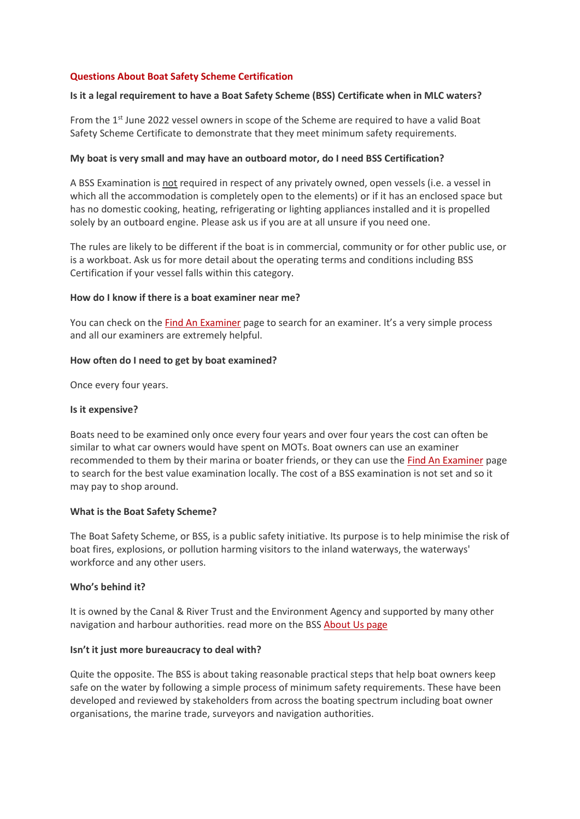### **Questions About Boat Safety Scheme Certification**

### **Is it a legal requirement to have a Boat Safety Scheme (BSS) Certificate when in MLC waters?**

From the 1<sup>st</sup> June 2022 vessel owners in scope of the Scheme are required to have a valid Boat Safety Scheme Certificate to demonstrate that they meet minimum safety requirements.

#### **My boat is very small and may have an outboard motor, do I need BSS Certification?**

A BSS Examination is not required in respect of any privately owned, open vessels (i.e. a vessel in which all the accommodation is completely open to the elements) or if it has an enclosed space but has no domestic cooking, heating, refrigerating or lighting appliances installed and it is propelled solely by an outboard engine. Please ask us if you are at all unsure if you need one.

The rules are likely to be different if the boat is in commercial, community or for other public use, or is a workboat. Ask us for more detail about the operating terms and conditions including BSS Certification if your vessel falls within this category.

#### **How do I know if there is a boat examiner near me?**

You can check on the [Find An Examiner](https://www.boatsafetyscheme.org/requirements-examinations-certification/arranging-the-examination/find-an-examiner/) page to search for an examiner. It's a very simple process and all our examiners are extremely helpful.

## **How often do I need to get by boat examined?**

Once every four years.

### **Is it expensive?**

Boats need to be examined only once every four years and over four years the cost can often be similar to what car owners would have spent on MOTs. Boat owners can use an examiner recommended to them by their marina or boater friends, or they can use the [Find An Examiner](https://www.boatsafetyscheme.org/requirements-examinations-certification/arranging-the-examination/find-an-examiner/) page to search for the best value examination locally. The cost of a BSS examination is not set and so it may pay to shop around.

#### **What is the Boat Safety Scheme?**

The Boat Safety Scheme, or BSS, is a public safety initiative. Its purpose is to help minimise the risk of boat fires, explosions, or pollution harming visitors to the inland waterways, the waterways' workforce and any other users.

#### **Who's behind it?**

It is owned by the Canal & River Trust and the Environment Agency and supported by many other navigation and harbour authorities. read more on the BSS [About Us page](https://www.boatsafetyscheme.org/about-us/)

#### **Isn't it just more bureaucracy to deal with?**

Quite the opposite. The BSS is about taking reasonable practical steps that help boat owners keep safe on the water by following a simple process of minimum safety requirements. These have been developed and reviewed by stakeholders from across the boating spectrum including boat owner organisations, the marine trade, surveyors and navigation authorities.